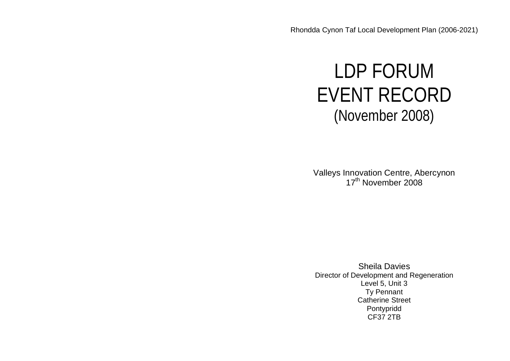# LDP FORUM EVENT RECORD (November 2008)

Valleys Innovation Centre, Abercynon 17<sup>th</sup> November 2008

Sheila Davies Director of Development and Regeneration Level 5, Unit 3 Ty Pennant Catherine Street Pontypridd CF37 2TB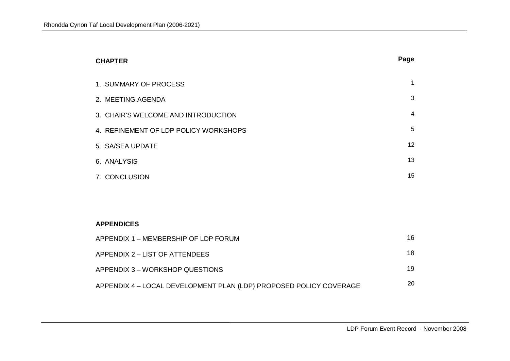| <b>CHAPTER</b>                        | Page           |
|---------------------------------------|----------------|
| 1. SUMMARY OF PROCESS                 | $\mathbf 1$    |
| 2. MEETING AGENDA                     | 3              |
| 3. CHAIR'S WELCOME AND INTRODUCTION   | $\overline{4}$ |
| 4. REFINEMENT OF LDP POLICY WORKSHOPS | 5              |
| 5. SA/SEA UPDATE                      | 12             |
| 6. ANALYSIS                           | 13             |
| 7. CONCLUSION                         | 15             |
|                                       |                |
|                                       |                |

#### **APPENDICES**

| APPENDIX 1 – MEMBERSHIP OF LDP FORUM                               | 16. |
|--------------------------------------------------------------------|-----|
| APPENDIX 2 – LIST OF ATTENDEES                                     | 18  |
| APPENDIX 3 – WORKSHOP QUESTIONS                                    | 19  |
| APPENDIX 4 - LOCAL DEVELOPMENT PLAN (LDP) PROPOSED POLICY COVERAGE | 20  |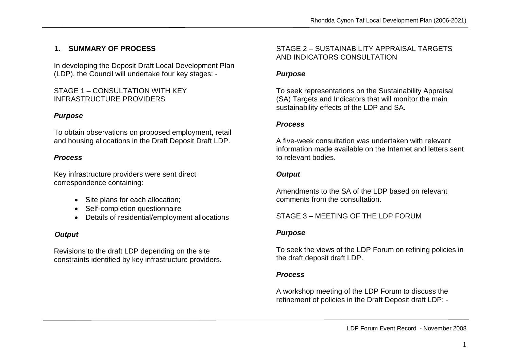# **1. SUMMARY OF PROCESS**

In developing the Deposit Draft Local Development Plan (LDP), the Council will undertake four key stages: -

#### STAGE 1 – CONSULTATION WITH KEY INFRASTRUCTURE PROVIDERS

#### *Purpose*

To obtain observations on proposed employment, retail and housing allocations in the Draft Deposit Draft LDP.

### *Process*

Key infrastructure providers were sent direct correspondence containing:

- Site plans for each allocation:
- Self-completion questionnaire
- Details of residential/employment allocations

# *Output*

Revisions to the draft LDP depending on the site constraints identified by key infrastructure providers.

## STAGE 2 – SUSTAINABILITY APPRAISAL TARGETS AND INDICATORS CONSULTATION

#### *Purpose*

To seek representations on the Sustainability Appraisal (SA) Targets and Indicators that will monitor the main sustainability effects of the LDP and SA.

#### *Process*

A five-week consultation was undertaken with relevant information made available on the Internet and letters sent to relevant bodies.

### *Output*

Amendments to the SA of the LDP based on relevant comments from the consultation.

STAGE 3 – MEETING OF THE LDP FORUM

#### *Purpose*

To seek the views of the LDP Forum on refining policies in the draft deposit draft LDP.

### *Process*

A workshop meeting of the LDP Forum to discuss the refinement of policies in the Draft Deposit draft LDP: -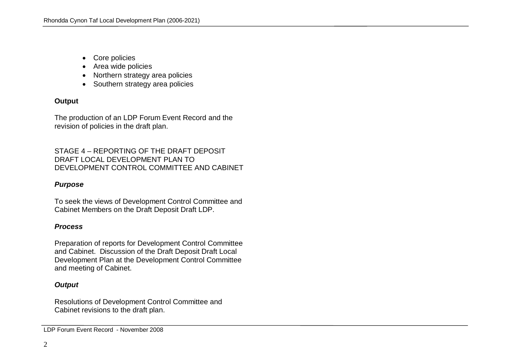- Core policies
- Area wide policies
- Northern strategy area policies
- Southern strategy area policies

#### **Output**

The production of an LDP Forum Event Record and the revision of policies in the draft plan.

#### STAGE 4 – REPORTING OF THE DRAFT DEPOSIT DRAFT LOCAL DEVELOPMENT PLAN TO DEVELOPMENT CONTROL COMMITTEE AND CABINET

### *Purpose*

To seek the views of Development Control Committee and Cabinet Members on the Draft Deposit Draft LDP.

#### *Process*

Preparation of reports for Development Control Committee and Cabinet. Discussion of the Draft Deposit Draft Local Development Plan at the Development Control Committee and meeting of Cabinet.

### *Output*

Resolutions of Development Control Committee and Cabinet revisions to the draft plan.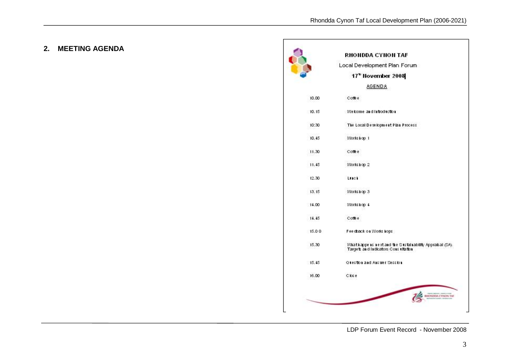# **2. MEETING AGENDA**

|       | RHONDDA CYNON TAF                                                                               |
|-------|-------------------------------------------------------------------------------------------------|
|       | Local Development Plan Forum                                                                    |
|       | 17" November 2008                                                                               |
|       | <b>AGENDA</b>                                                                                   |
| 10.00 | Coffee.                                                                                         |
| 10.15 | Welcome and Introduction                                                                        |
| 10:30 | The Local Development Plan Process                                                              |
| 10.45 | Works Lop. 1                                                                                    |
| 11.30 | Come e                                                                                          |
| 11.45 | Works hop 2                                                                                     |
| 12.30 | Luck                                                                                            |
| 13.15 | Works hop 3                                                                                     |
| 14.00 | Works Lop 4                                                                                     |
| 14.45 | Comee                                                                                           |
| 15.00 | Fee dixack on Works hops                                                                        |
| 15.30 | What happens next and the Sustainability Appraisal (SA).<br>Targets and Indicators Consultation |
| 15.45 | <b>Question and Answer Session.</b>                                                             |
| 16.00 | Close                                                                                           |
|       |                                                                                                 |

LDP Forum Event Record - November 2008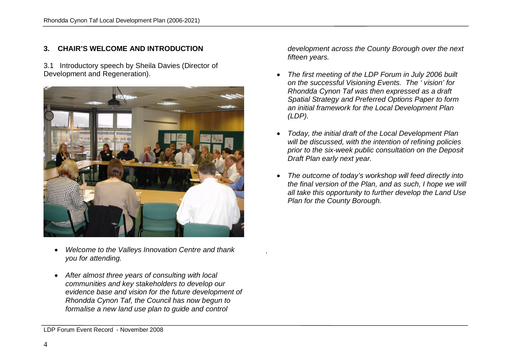## **3. CHAIR'S WELCOME AND INTRODUCTION**

3.1 Introductory speech by Sheila Davies (Director of Development and Regeneration).



- *Welcome to the Valleys Innovation Centre and thank you for attending.*
- *After almost three years of consulting with local communities and key stakeholders to develop our evidence base and vision for the future development of Rhondda Cynon Taf, the Council has now begun to formalise a new land use plan to guide and control*

*development across the County Borough over the next fifteen years.*

- *The first meeting of the LDP Forum in July 2006 built on the successful Visioning Events. The ' vision' for Rhondda Cynon Taf was then expressed as a draft Spatial Strategy and Preferred Options Paper to form an initial framework for the Local Development Plan (LDP).*
- *Today, the initial draft of the Local Development Plan will be discussed, with the intention of refining policies prior to the six-week public consultation on the Deposit Draft Plan early next year.*
- *The outcome of today's workshop will feed directly into the final version of the Plan, and as such, I hope we will all take this opportunity to further develop the Land Use Plan for the County Borough.*

*.* 

LDP Forum Event Record - November 2008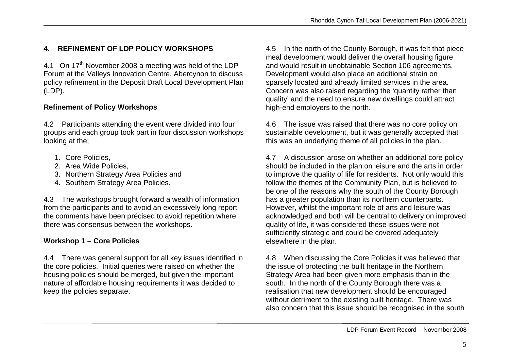# **4. REFINEMENT OF LDP POLICY WORKSHOPS**

4.1 On 17<sup>th</sup> November 2008 a meeting was held of the LDP Forum at the Valleys Innovation Centre, Abercynon to discuss policy refinement in the Deposit Draft Local Development Plan (LDP).

#### **Refinement of Policy Workshops**

4.2 Participants attending the event were divided into four groups and each group took part in four discussion workshops looking at the;

- 1. Core Policies,
- 2. Area Wide Policies,
- 3. Northern Strategy Area Policies and
- 4. Southern Strategy Area Policies.

4.3 The workshops brought forward a wealth of information from the participants and to avoid an excessively long report the comments have been précised to avoid repetition where there was consensus between the workshops.

# **Workshop 1 – Core Policies**

4.4 There was general support for all key issues identified in the core policies. Initial queries were raised on whether the housing policies should be merged, but given the important nature of affordable housing requirements it was decided to keep the policies separate.

4.5 In the north of the County Borough, it was felt that piece meal development would deliver the overall housing figure and would result in unobtainable Section 106 agreements. Development would also place an additional strain on sparsely located and already limited services in the area. Concern was also raised regarding the 'quantity rather than quality' and the need to ensure new dwellings could attract high-end employers to the north.

4.6 The issue was raised that there was no core policy on sustainable development, but it was generally accepted that this was an underlying theme of all policies in the plan.

4.7 A discussion arose on whether an additional core policy should be included in the plan on leisure and the arts in order to improve the quality of life for residents. Not only would this follow the themes of the Community Plan, but is believed to be one of the reasons why the south of the County Borough has a greater population than its northern counterparts. However, whilst the important role of arts and leisure was acknowledged and both will be central to delivery on improved quality of life, it was considered these issues were not sufficiently strategic and could be covered adequately elsewhere in the plan.

4.8 When discussing the Core Policies it was believed that the issue of protecting the built heritage in the Northern Strategy Area had been given more emphasis than in the south. In the north of the County Borough there was a realisation that new development should be encouraged without detriment to the existing built heritage. There was also concern that this issue should be recognised in the south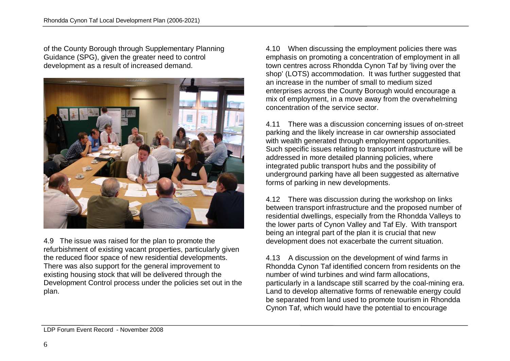of the County Borough through Supplementary Planning Guidance (SPG), given the greater need to control development as a result of increased demand.



4.9 The issue was raised for the plan to promote the refurbishment of existing vacant properties, particularly given the reduced floor space of new residential developments. There was also support for the general improvement to existing housing stock that will be delivered through the Development Control process under the policies set out in the plan.

4.10 When discussing the employment policies there was emphasis on promoting a concentration of employment in all town centres across Rhondda Cynon Taf by 'living over the shop' (LOTS) accommodation. It was further suggested that an increase in the number of small to medium sized enterprises across the County Borough would encourage a mix of employment, in a move away from the overwhelming concentration of the service sector.

4.11 There was a discussion concerning issues of on-street parking and the likely increase in car ownership associated with wealth generated through employment opportunities. Such specific issues relating to transport infrastructure will be addressed in more detailed planning policies, where integrated public transport hubs and the possibility of underground parking have all been suggested as alternative forms of parking in new developments.

4.12 There was discussion during the workshop on links between transport infrastructure and the proposed number of residential dwellings, especially from the Rhondda Valleys to the lower parts of Cynon Valley and Taf Ely. With transport being an integral part of the plan it is crucial that new development does not exacerbate the current situation.

4.13 A discussion on the development of wind farms in Rhondda Cynon Taf identified concern from residents on the number of wind turbines and wind farm allocations, particularly in a landscape still scarred by the coal-mining era. Land to develop alternative forms of renewable energy could be separated from land used to promote tourism in Rhondda Cynon Taf, which would have the potential to encourage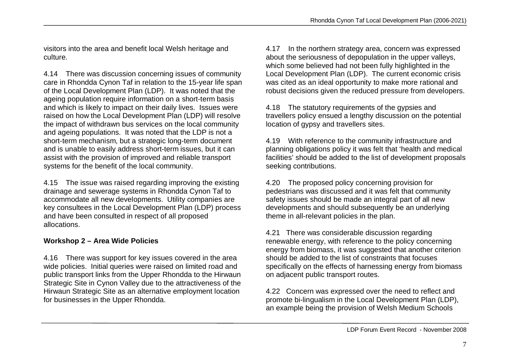visitors into the area and benefit local Welsh heritage and culture.

4.14 There was discussion concerning issues of community care in Rhondda Cynon Taf in relation to the 15-year life span of the Local Development Plan (LDP). It was noted that the ageing population require information on a short-term basis and which is likely to impact on their daily lives. Issues were raised on how the Local Development Plan (LDP) will resolve the impact of withdrawn bus services on the local community and ageing populations. It was noted that the LDP is not a short-term mechanism, but a strategic long-term document and is unable to easily address short-term issues, but it can assist with the provision of improved and reliable transport systems for the benefit of the local community.

4.15 The issue was raised regarding improving the existing drainage and sewerage systems in Rhondda Cynon Taf to accommodate all new developments. Utility companies are key consultees in the Local Development Plan (LDP) process and have been consulted in respect of all proposed allocations.

#### **Workshop 2 – Area Wide Policies**

4.16 There was support for key issues covered in the area wide policies. Initial queries were raised on limited road and public transport links from the Upper Rhondda to the Hirwaun Strategic Site in Cynon Valley due to the attractiveness of the Hirwaun Strategic Site as an alternative employment location for businesses in the Upper Rhondda.

4.17 In the northern strategy area, concern was expressed about the seriousness of depopulation in the upper valleys, which some believed had not been fully highlighted in the Local Development Plan (LDP). The current economic crisis was cited as an ideal opportunity to make more rational and robust decisions given the reduced pressure from developers.

4.18 The statutory requirements of the gypsies and travellers policy ensued a lengthy discussion on the potential location of gypsy and travellers sites.

4.19 With reference to the community infrastructure and planning obligations policy it was felt that 'health and medical facilities' should be added to the list of development proposals seeking contributions.

4.20 The proposed policy concerning provision for pedestrians was discussed and it was felt that community safety issues should be made an integral part of all new developments and should subsequently be an underlying theme in all-relevant policies in the plan.

4.21 There was considerable discussion regarding renewable energy, with reference to the policy concerning energy from biomass, it was suggested that another criterion should be added to the list of constraints that focuses specifically on the effects of harnessing energy from biomass on adjacent public transport routes.

4.22 Concern was expressed over the need to reflect and promote bi-lingualism in the Local Development Plan (LDP), an example being the provision of Welsh Medium Schools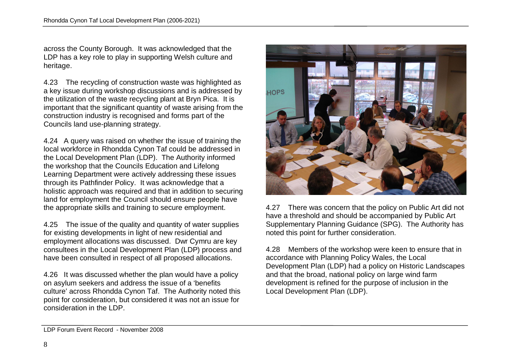across the County Borough. It was acknowledged that the LDP has a key role to play in supporting Welsh culture and heritage.

4.23 The recycling of construction waste was highlighted as a key issue during workshop discussions and is addressed by the utilization of the waste recycling plant at Bryn Pica. It is important that the significant quantity of waste arising from the construction industry is recognised and forms part of the Councils land use-planning strategy.

4.24 A query was raised on whether the issue of training the local workforce in Rhondda Cynon Taf could be addressed in the Local Development Plan (LDP). The Authority informed the workshop that the Councils Education and Lifelong Learning Department were actively addressing these issues through its Pathfinder Policy. It was acknowledge that a holistic approach was required and that in addition to securing land for employment the Council should ensure people have the appropriate skills and training to secure employment.

4.25 The issue of the quality and quantity of water supplies for existing developments in light of new residential and employment allocations was discussed. Dwr Cymru are key consultees in the Local Development Plan (LDP) process and have been consulted in respect of all proposed allocations.

4.26 It was discussed whether the plan would have a policy on asylum seekers and address the issue of a 'benefits culture' across Rhondda Cynon Taf. The Authority noted this point for consideration, but considered it was not an issue for consideration in the LDP.



4.27 There was concern that the policy on Public Art did not have a threshold and should be accompanied by Public Art Supplementary Planning Guidance (SPG). The Authority has noted this point for further consideration.

4.28 Members of the workshop were keen to ensure that in accordance with Planning Policy Wales, the Local Development Plan (LDP) had a policy on Historic Landscapes and that the broad, national policy on large wind farm development is refined for the purpose of inclusion in the Local Development Plan (LDP).

LDP Forum Event Record - November 2008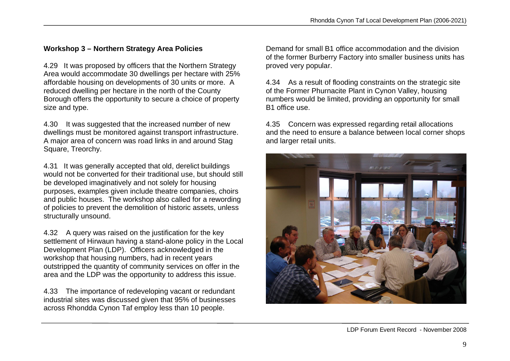# **Workshop 3 – Northern Strategy Area Policies**

4.29 It was proposed by officers that the Northern Strategy Area would accommodate 30 dwellings per hectare with 25% affordable housing on developments of 30 units or more. A reduced dwelling per hectare in the north of the County Borough offers the opportunity to secure a choice of property size and type.

4.30 It was suggested that the increased number of new dwellings must be monitored against transport infrastructure. A major area of concern was road links in and around Stag Square, Treorchy.

4.31 It was generally accepted that old, derelict buildings would not be converted for their traditional use, but should still be developed imaginatively and not solely for housing purposes, examples given include theatre companies, choirs and public houses. The workshop also called for a rewording of policies to prevent the demolition of historic assets, unless structurally unsound.

4.32 A query was raised on the justification for the key settlement of Hirwaun having a stand-alone policy in the Local Development Plan (LDP). Officers acknowledged in the workshop that housing numbers, had in recent years outstripped the quantity of community services on offer in the area and the LDP was the opportunity to address this issue.

4.33 The importance of redeveloping vacant or redundant industrial sites was discussed given that 95% of businesses across Rhondda Cynon Taf employ less than 10 people.

Demand for small B1 office accommodation and the division of the former Burberry Factory into smaller business units has proved very popular.

4.34 As a result of flooding constraints on the strategic site of the Former Phurnacite Plant in Cynon Valley, housing numbers would be limited, providing an opportunity for small B1 office use.

4.35 Concern was expressed regarding retail allocations and the need to ensure a balance between local corner shops and larger retail units.

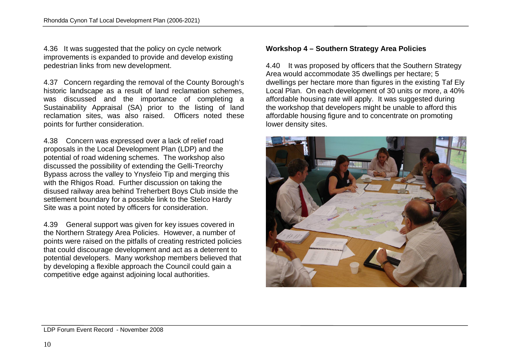4.36 It was suggested that the policy on cycle network improvements is expanded to provide and develop existing pedestrian links from new development.

4.37 Concern regarding the removal of the County Borough's historic landscape as a result of land reclamation schemes. was discussed and the importance of completing a Sustainability Appraisal (SA) prior to the listing of land reclamation sites, was also raised. Officers noted these points for further consideration.

4.38 Concern was expressed over a lack of relief road proposals in the Local Development Plan (LDP) and the potential of road widening schemes. The workshop also discussed the possibility of extending the Gelli-Treorchy Bypass across the valley to Ynysfeio Tip and merging this with the Rhigos Road. Further discussion on taking the disused railway area behind Treherbert Boys Club inside the settlement boundary for a possible link to the Stelco Hardy Site was a point noted by officers for consideration.

4.39 General support was given for key issues covered in the Northern Strategy Area Policies. However, a number of points were raised on the pitfalls of creating restricted policies that could discourage development and act as a deterrent to potential developers. Many workshop members believed that by developing a flexible approach the Council could gain a competitive edge against adjoining local authorities.

#### **Workshop 4 – Southern Strategy Area Policies**

4.40 It was proposed by officers that the Southern Strategy Area would accommodate 35 dwellings per hectare; 5 dwellings per hectare more than figures in the existing Taf Ely Local Plan. On each development of 30 units or more, a 40% affordable housing rate will apply. It was suggested during the workshop that developers might be unable to afford this affordable housing figure and to concentrate on promoting lower density sites.



LDP Forum Event Record - November 2008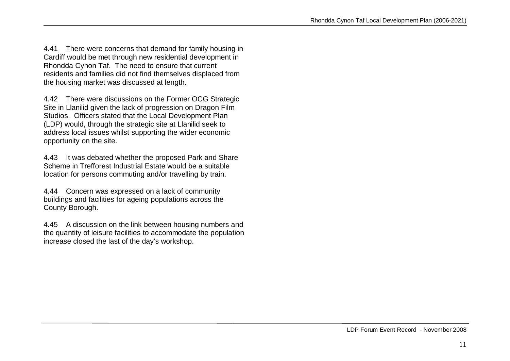4.41 There were concerns that demand for family housing in Cardiff would be met through new residential development in Rhondda Cynon Taf. The need to ensure that current residents and families did not find themselves displaced from the housing market was discussed at length.

4.42 There were discussions on the Former OCG Strategic Site in Llanilid given the lack of progression on Dragon Film Studios. Officers stated that the Local Development Plan (LDP) would, through the strategic site at Llanilid seek to address local issues whilst supporting the wider economic opportunity on the site.

4.43 It was debated whether the proposed Park and Share Scheme in Trefforest Industrial Estate would be a suitable location for persons commuting and/or travelling by train.

4.44 Concern was expressed on a lack of community buildings and facilities for ageing populations across the County Borough.

4.45 A discussion on the link between housing numbers and the quantity of leisure facilities to accommodate the population increase closed the last of the day's workshop.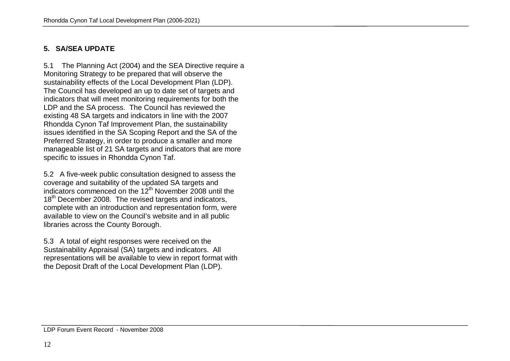#### **5. SA/SEA UPDATE**

5.1 The Planning Act (2004) and the SEA Directive require a Monitoring Strategy to be prepared that will observe the sustainability effects of the Local Development Plan (LDP). The Council has developed an up to date set of targets and indicators that will meet monitoring requirements for both the LDP and the SA process. The Council has reviewed the existing 48 SA targets and indicators in line with the 2007 Rhondda Cynon Taf Improvement Plan, the sustainability issues identified in the SA Scoping Report and the SA of the Preferred Strategy, in order to produce a smaller and more manageable list of 21 SA targets and indicators that are more specific to issues in Rhondda Cynon Taf.

5.2 A five-week public consultation designed to assess the coverage and suitability of the updated SA targets and indicators commenced on the  $12<sup>th</sup>$  November 2008 until the 18<sup>th</sup> December 2008. The revised targets and indicators, complete with an introduction and representation form, were available to view on the Council's website and in all public libraries across the County Borough.

5.3 A total of eight responses were received on the Sustainability Appraisal (SA) targets and indicators. All representations will be available to view in report format with the Deposit Draft of the Local Development Plan (LDP).

#### LDP Forum Event Record - November 2008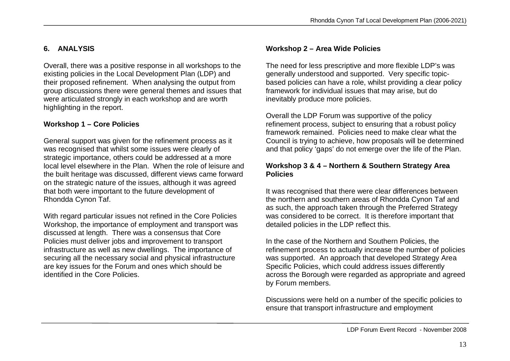# **6. ANALYSIS**

Overall, there was a positive response in all workshops to the existing policies in the Local Development Plan (LDP) and their proposed refinement. When analysing the output from group discussions there were general themes and issues that were articulated strongly in each workshop and are worth highlighting in the report.

# **Workshop 1 – Core Policies**

General support was given for the refinement process as it was recognised that whilst some issues were clearly of strategic importance, others could be addressed at a more local level elsewhere in the Plan. When the role of leisure and the built heritage was discussed, different views came forward on the strategic nature of the issues, although it was agreed that both were important to the future development of Rhondda Cynon Taf.

With regard particular issues not refined in the Core Policies Workshop, the importance of employment and transport was discussed at length. There was a consensus that Core Policies must deliver jobs and improvement to transport infrastructure as well as new dwellings. The importance of securing all the necessary social and physical infrastructure are key issues for the Forum and ones which should be identified in the Core Policies.

#### **Workshop 2 – Area Wide Policies**

The need for less prescriptive and more flexible LDP's was generally understood and supported. Very specific topicbased policies can have a role, whilst providing a clear policy framework for individual issues that may arise, but do inevitably produce more policies.

Overall the LDP Forum was supportive of the policy refinement process, subject to ensuring that a robust policy framework remained. Policies need to make clear what the Council is trying to achieve, how proposals will be determined and that policy 'gaps' do not emerge over the life of the Plan.

#### **Workshop 3 & 4 – Northern & Southern Strategy Area Policies**

It was recognised that there were clear differences between the northern and southern areas of Rhondda Cynon Taf and as such, the approach taken through the Preferred Strategy was considered to be correct. It is therefore important that detailed policies in the LDP reflect this.

In the case of the Northern and Southern Policies, the refinement process to actually increase the number of policies was supported. An approach that developed Strategy Area Specific Policies, which could address issues differently across the Borough were regarded as appropriate and agreed by Forum members.

Discussions were held on a number of the specific policies to ensure that transport infrastructure and employment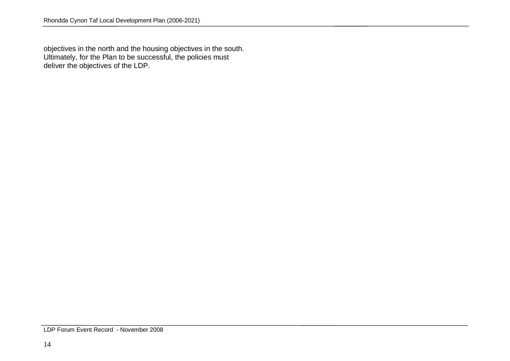objectives in the north and the housing objectives in the south. Ultimately, for the Plan to be successful, the policies must deliver the objectives of the LDP.

LDP Forum Event Record - November 2008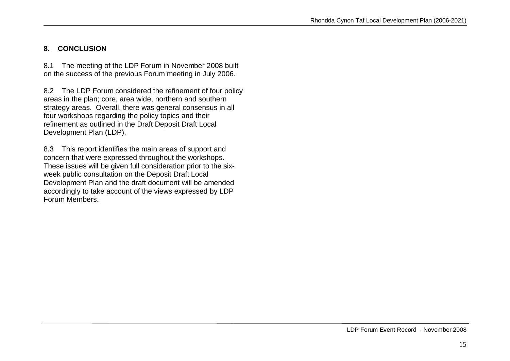#### **8. CONCLUSION**

8.1 The meeting of the LDP Forum in November 2008 built on the success of the previous Forum meeting in July 2006.

8.2 The LDP Forum considered the refinement of four policy areas in the plan; core, area wide, northern and southern strategy areas. Overall, there was general consensus in all four workshops regarding the policy topics and their refinement as outlined in the Draft Deposit Draft Local Development Plan (LDP).

8.3 This report identifies the main areas of support and concern that were expressed throughout the workshops. These issues will be given full consideration prior to the sixweek public consultation on the Deposit Draft Local Development Plan and the draft document will be amended accordingly to take account of the views expressed by LDP Forum Members.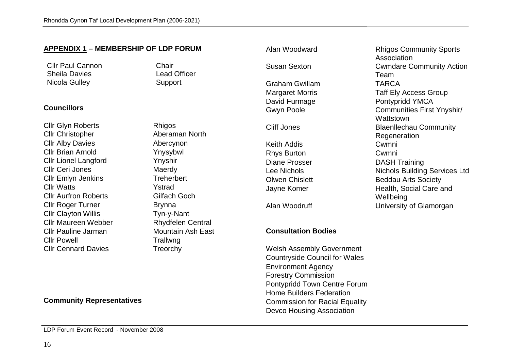**APPENDIX 1 – MEMBERSHIP OF LDP FORUM** 

#### **Clir Paul Cannon**<br> **Chair**<br> **Chair**<br> **Chair**<br> **Chair**<br> **Chair**<br> **Chair**<br> **Chair** Sheila Davies Nicola Gulley **Support Councillors** Cllr Glyn Roberts **Rhigos** Cllr Christopher **Aberaman North** Cllr Alby Davies **Abercynon** Cllr Brian Arnold Ynysybwl Cllr Lionel Langford Ynyshir Cllr Ceri Jones Maerdy Cllr Emlyn Jenkins Treherbert Cllr Watts Ystrad Cllr Aurfron Roberts Gilfach Goch Cllr Roger Turner Brynna Cllr Clayton Willis Tyn-y-Nant Cllr Maureen Webber Rhydfelen Central Cllr Pauline Jarman Mountain Ash East Cllr Powell **Trallwng** Cllr Cennard Davies Treorchy Susan Sexton Cwmdare Community Action Graham Gwillam TARCA Margaret Morris Taff Ely Access Group David Furmage Pontypridd YMCA Gwyn Poole **Communities First Ynyshir/** Cliff Jones Blaenllechau Community Keith Addis Cwmni Rhys Burton Cwmni Diane Prosser **DASH Training** Lee Nichols **Nichols** Nichols Building Services Ltd **Olwen Chislett** Beddau Arts Society Jayne Komer **Health, Social Care and** Alan Woodruff **National Contract Contract University of Glamorgan Consultation Bodies** Welsh Assembly Government Countryside Council for Wales Environment Agency Forestry Commission

#### **Community Representatives**

Pontypridd Town Centre Forum Home Builders Federation Commission for Racial Equality Devco Housing Association

Alan Woodward Rhigos Community Sports Association Team **Wattstown** Regeneration Wellbeing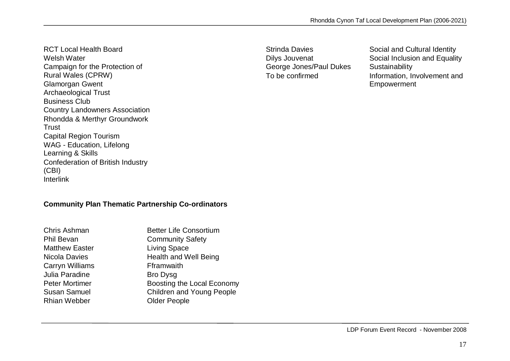RCT Local Health Board Welsh Water Campaign for the Protection of Rural Wales (CPRW) Glamorgan Gwent Archaeological Trust Business Club Country Landowners Association Rhondda & Merthyr Groundwork **Trust** Capital Region Tourism WAG - Education, Lifelong Learning & Skills Confederation of British Industry (CBI) Interlink

George Jones/Paul Dukes Sustainability

Strinda Davies<br>
Dilys Jouvenat<br>
Social Inclusion and Equality<br>
Social Inclusion and Equality Social Inclusion and Equality To be confirmed **Information**, Involvement and Empowerment

#### **Community Plan Thematic Partnership Co-ordinators**

| Chris Ashman           | <b>Better Life Consortium</b>    |
|------------------------|----------------------------------|
| <b>Phil Bevan</b>      | <b>Community Safety</b>          |
| <b>Matthew Easter</b>  | <b>Living Space</b>              |
| Nicola Davies          | <b>Health and Well Being</b>     |
| <b>Carryn Williams</b> | Fframwaith                       |
| Julia Paradine         | <b>Bro Dysg</b>                  |
| <b>Peter Mortimer</b>  | Boosting the Local Economy       |
| <b>Susan Samuel</b>    | <b>Children and Young People</b> |
| <b>Rhian Webber</b>    | <b>Older People</b>              |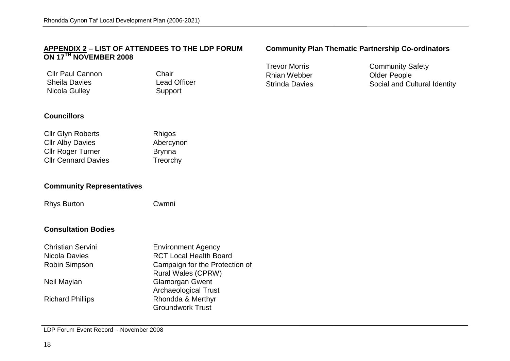#### **APPENDIX 2 – LIST OF ATTENDEES TO THE LDP FORUM ON 17TH NOVEMBER 2008**

Cllr Paul Cannon<br>
Sheila Davies<br>
Chair Chair Chair Sheila Davies Lead Officer Nicola Gulley

#### **Community Plan Thematic Partnership Co-ordinators**

Rhian Webber **Communist Construction**<br>Strinda Davies **Communist Communist Communist Communist Communist Communist Communist Communist Communist Communist Communist Communist Communist Communist Communist Communist Communis** 

Trevor Morris Community Safety<br>
Rhian Webber Clder People Social and Cultural Identity

#### **Councillors**

| <b>Cllr Glyn Roberts</b>   | <b>Rhigos</b> |
|----------------------------|---------------|
| <b>Cllr Alby Davies</b>    | Abercynon     |
| <b>Cllr Roger Turner</b>   | <b>Brynna</b> |
| <b>CIIr Cennard Davies</b> | Treorchy      |

#### **Community Representatives**

Rhys Burton Cwmni

#### **Consultation Bodies**

| <b>Christian Servini</b> | <b>Environment Agency</b>      |
|--------------------------|--------------------------------|
| Nicola Davies            | <b>RCT Local Health Board</b>  |
| <b>Robin Simpson</b>     | Campaign for the Protection of |
|                          | <b>Rural Wales (CPRW)</b>      |
| Neil Maylan              | <b>Glamorgan Gwent</b>         |
|                          | <b>Archaeological Trust</b>    |
| <b>Richard Phillips</b>  | Rhondda & Merthyr              |
|                          | <b>Groundwork Trust</b>        |

LDP Forum Event Record - November 2008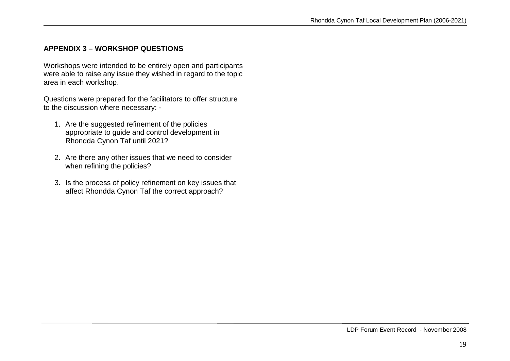#### **APPENDIX 3 – WORKSHOP QUESTIONS**

Workshops were intended to be entirely open and participants were able to raise any issue they wished in regard to the topic area in each workshop.

Questions were prepared for the facilitators to offer structure to the discussion where necessary: -

- 1. Are the suggested refinement of the policies appropriate to guide and control development in Rhondda Cynon Taf until 2021?
- 2. Are there any other issues that we need to consider when refining the policies?
- 3. Is the process of policy refinement on key issues that affect Rhondda Cynon Taf the correct approach?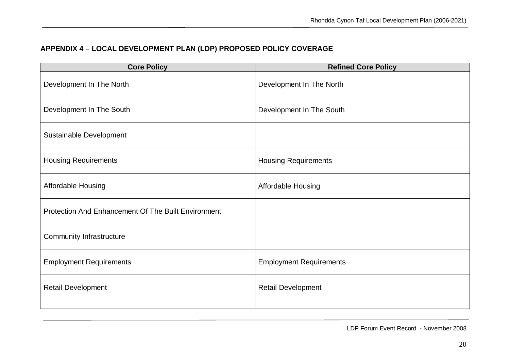# **APPENDIX 4 – LOCAL DEVELOPMENT PLAN (LDP) PROPOSED POLICY COVERAGE**

| <b>Core Policy</b>                                  | <b>Refined Core Policy</b>     |
|-----------------------------------------------------|--------------------------------|
| Development In The North                            | Development In The North       |
| Development In The South                            | Development In The South       |
| Sustainable Development                             |                                |
| <b>Housing Requirements</b>                         | <b>Housing Requirements</b>    |
| Affordable Housing                                  | <b>Affordable Housing</b>      |
| Protection And Enhancement Of The Built Environment |                                |
| <b>Community Infrastructure</b>                     |                                |
| <b>Employment Requirements</b>                      | <b>Employment Requirements</b> |
| <b>Retail Development</b>                           | <b>Retail Development</b>      |
|                                                     |                                |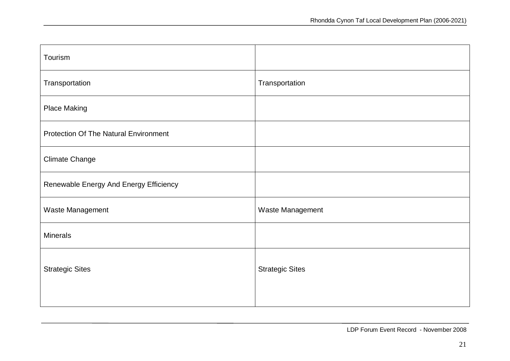| Transportation         |
|------------------------|
|                        |
|                        |
|                        |
|                        |
| Waste Management       |
|                        |
| <b>Strategic Sites</b> |
|                        |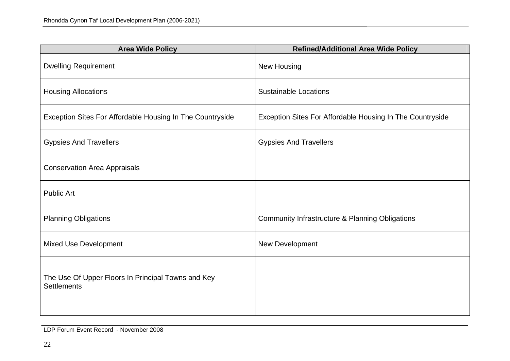| <b>Area Wide Policy</b>                                                  | <b>Refined/Additional Area Wide Policy</b>                |
|--------------------------------------------------------------------------|-----------------------------------------------------------|
| <b>Dwelling Requirement</b>                                              | New Housing                                               |
| <b>Housing Allocations</b>                                               | <b>Sustainable Locations</b>                              |
| Exception Sites For Affordable Housing In The Countryside                | Exception Sites For Affordable Housing In The Countryside |
| <b>Gypsies And Travellers</b>                                            | <b>Gypsies And Travellers</b>                             |
| <b>Conservation Area Appraisals</b>                                      |                                                           |
| <b>Public Art</b>                                                        |                                                           |
| <b>Planning Obligations</b>                                              | Community Infrastructure & Planning Obligations           |
| <b>Mixed Use Development</b>                                             | New Development                                           |
| The Use Of Upper Floors In Principal Towns and Key<br><b>Settlements</b> |                                                           |

LDP Forum Event Record - November 2008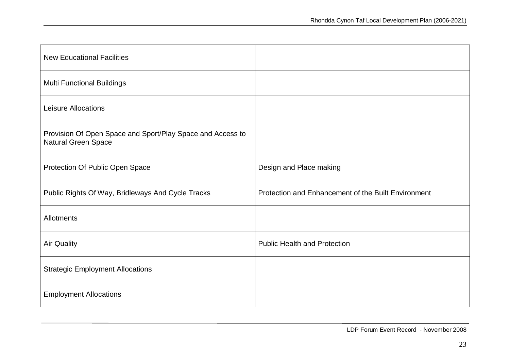| <b>New Educational Facilities</b>                                                        |                                                     |
|------------------------------------------------------------------------------------------|-----------------------------------------------------|
| <b>Multi Functional Buildings</b>                                                        |                                                     |
| Leisure Allocations                                                                      |                                                     |
| Provision Of Open Space and Sport/Play Space and Access to<br><b>Natural Green Space</b> |                                                     |
| Protection Of Public Open Space                                                          | Design and Place making                             |
| Public Rights Of Way, Bridleways And Cycle Tracks                                        | Protection and Enhancement of the Built Environment |
| <b>Allotments</b>                                                                        |                                                     |
| <b>Air Quality</b>                                                                       | <b>Public Health and Protection</b>                 |
| <b>Strategic Employment Allocations</b>                                                  |                                                     |
| <b>Employment Allocations</b>                                                            |                                                     |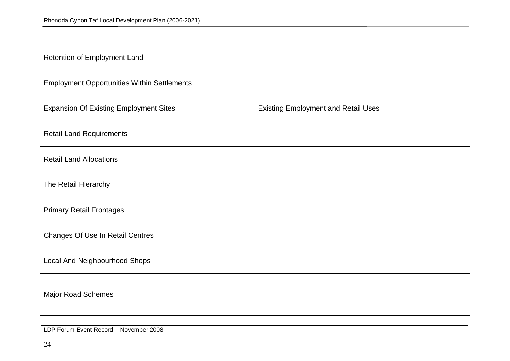| Retention of Employment Land                       |                                            |
|----------------------------------------------------|--------------------------------------------|
| <b>Employment Opportunities Within Settlements</b> |                                            |
| <b>Expansion Of Existing Employment Sites</b>      | <b>Existing Employment and Retail Uses</b> |
| <b>Retail Land Requirements</b>                    |                                            |
| <b>Retail Land Allocations</b>                     |                                            |
| The Retail Hierarchy                               |                                            |
| <b>Primary Retail Frontages</b>                    |                                            |
| <b>Changes Of Use In Retail Centres</b>            |                                            |
| Local And Neighbourhood Shops                      |                                            |
| <b>Major Road Schemes</b>                          |                                            |

LDP Forum Event Record - November 2008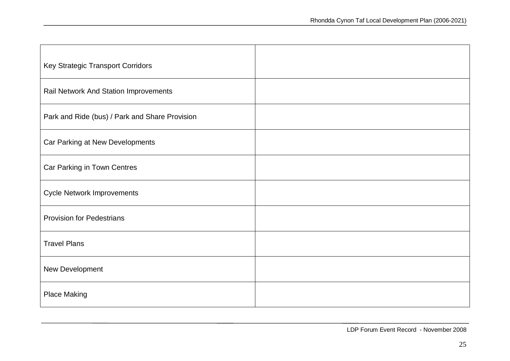| Key Strategic Transport Corridors              |  |
|------------------------------------------------|--|
| Rail Network And Station Improvements          |  |
| Park and Ride (bus) / Park and Share Provision |  |
| Car Parking at New Developments                |  |
| Car Parking in Town Centres                    |  |
| <b>Cycle Network Improvements</b>              |  |
| <b>Provision for Pedestrians</b>               |  |
| <b>Travel Plans</b>                            |  |
| New Development                                |  |
| <b>Place Making</b>                            |  |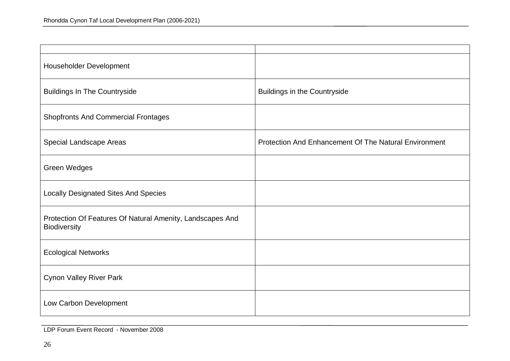| Householder Development                                                   |                                                       |
|---------------------------------------------------------------------------|-------------------------------------------------------|
| <b>Buildings In The Countryside</b>                                       | <b>Buildings in the Countryside</b>                   |
| <b>Shopfronts And Commercial Frontages</b>                                |                                                       |
| <b>Special Landscape Areas</b>                                            | Protection And Enhancement Of The Natural Environment |
| <b>Green Wedges</b>                                                       |                                                       |
| <b>Locally Designated Sites And Species</b>                               |                                                       |
| Protection Of Features Of Natural Amenity, Landscapes And<br>Biodiversity |                                                       |
| <b>Ecological Networks</b>                                                |                                                       |
| <b>Cynon Valley River Park</b>                                            |                                                       |
| Low Carbon Development                                                    |                                                       |

LDP Forum Event Record - November 2008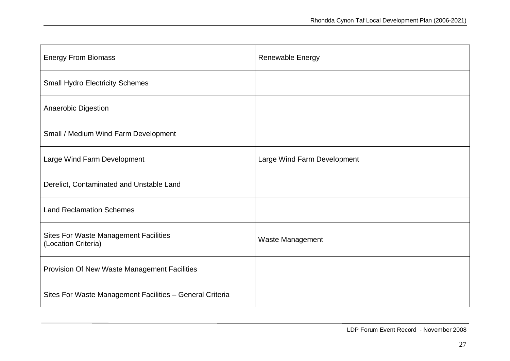| <b>Energy From Biomass</b>                                          | <b>Renewable Energy</b>     |
|---------------------------------------------------------------------|-----------------------------|
| <b>Small Hydro Electricity Schemes</b>                              |                             |
| <b>Anaerobic Digestion</b>                                          |                             |
| Small / Medium Wind Farm Development                                |                             |
| Large Wind Farm Development                                         | Large Wind Farm Development |
| Derelict, Contaminated and Unstable Land                            |                             |
| <b>Land Reclamation Schemes</b>                                     |                             |
| <b>Sites For Waste Management Facilities</b><br>(Location Criteria) | Waste Management            |
| Provision Of New Waste Management Facilities                        |                             |
| Sites For Waste Management Facilities - General Criteria            |                             |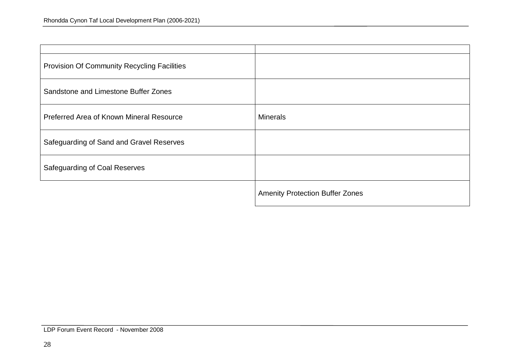| <b>Provision Of Community Recycling Facilities</b> |                                        |
|----------------------------------------------------|----------------------------------------|
| Sandstone and Limestone Buffer Zones               |                                        |
| Preferred Area of Known Mineral Resource           | <b>Minerals</b>                        |
| Safeguarding of Sand and Gravel Reserves           |                                        |
| <b>Safeguarding of Coal Reserves</b>               |                                        |
|                                                    | <b>Amenity Protection Buffer Zones</b> |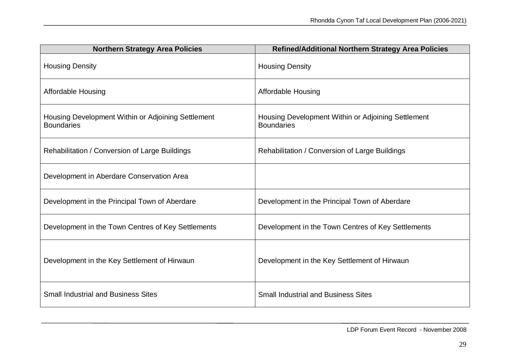| <b>Northern Strategy Area Policies</b>                                  | <b>Refined/Additional Northern Strategy Area Policies</b>               |
|-------------------------------------------------------------------------|-------------------------------------------------------------------------|
| <b>Housing Density</b>                                                  | <b>Housing Density</b>                                                  |
| <b>Affordable Housing</b>                                               | <b>Affordable Housing</b>                                               |
| Housing Development Within or Adjoining Settlement<br><b>Boundaries</b> | Housing Development Within or Adjoining Settlement<br><b>Boundaries</b> |
| Rehabilitation / Conversion of Large Buildings                          | Rehabilitation / Conversion of Large Buildings                          |
| Development in Aberdare Conservation Area                               |                                                                         |
| Development in the Principal Town of Aberdare                           | Development in the Principal Town of Aberdare                           |
| Development in the Town Centres of Key Settlements                      | Development in the Town Centres of Key Settlements                      |
| Development in the Key Settlement of Hirwaun                            | Development in the Key Settlement of Hirwaun                            |
| <b>Small Industrial and Business Sites</b>                              | <b>Small Industrial and Business Sites</b>                              |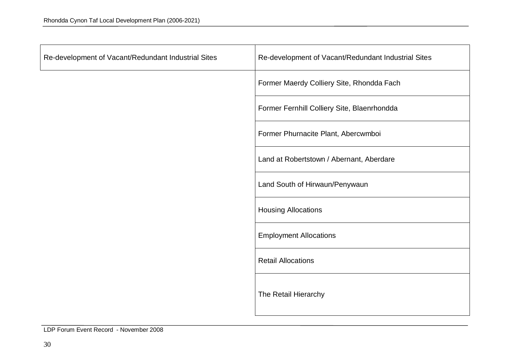| Re-development of Vacant/Redundant Industrial Sites | Re-development of Vacant/Redundant Industrial Sites |
|-----------------------------------------------------|-----------------------------------------------------|
|                                                     | Former Maerdy Colliery Site, Rhondda Fach           |
|                                                     | Former Fernhill Colliery Site, Blaenrhondda         |
|                                                     | Former Phurnacite Plant, Abercwmboi                 |
|                                                     | Land at Robertstown / Abernant, Aberdare            |
|                                                     | Land South of Hirwaun/Penywaun                      |
|                                                     | <b>Housing Allocations</b>                          |
|                                                     | <b>Employment Allocations</b>                       |
|                                                     | <b>Retail Allocations</b>                           |
|                                                     | The Retail Hierarchy                                |

LDP Forum Event Record - November 2008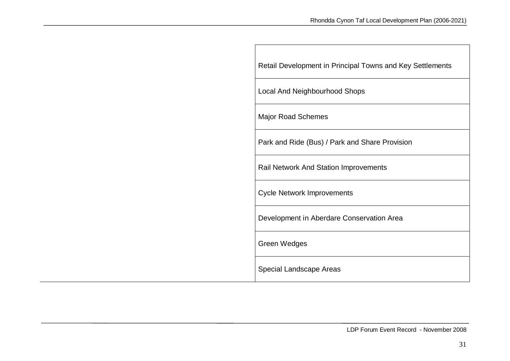| Retail Development in Principal Towns and Key Settlements |
|-----------------------------------------------------------|
| Local And Neighbourhood Shops                             |
| <b>Major Road Schemes</b>                                 |
| Park and Ride (Bus) / Park and Share Provision            |
| <b>Rail Network And Station Improvements</b>              |
| <b>Cycle Network Improvements</b>                         |
| Development in Aberdare Conservation Area                 |
| <b>Green Wedges</b>                                       |
| Special Landscape Areas                                   |

 $\Box$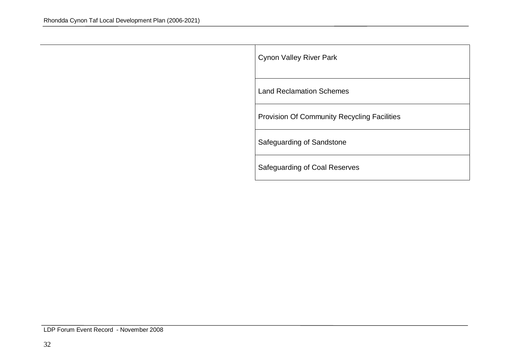| <b>Cynon Valley River Park</b>                     |
|----------------------------------------------------|
| <b>Land Reclamation Schemes</b>                    |
| <b>Provision Of Community Recycling Facilities</b> |
| Safeguarding of Sandstone                          |
| Safeguarding of Coal Reserves                      |

LDP Forum Event Record - November 2008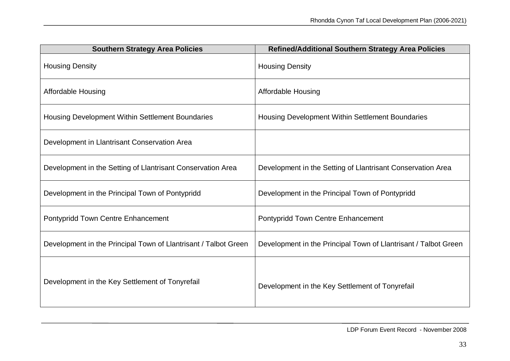| <b>Southern Strategy Area Policies</b>                          | <b>Refined/Additional Southern Strategy Area Policies</b>       |
|-----------------------------------------------------------------|-----------------------------------------------------------------|
| <b>Housing Density</b>                                          | <b>Housing Density</b>                                          |
| <b>Affordable Housing</b>                                       | <b>Affordable Housing</b>                                       |
| Housing Development Within Settlement Boundaries                | Housing Development Within Settlement Boundaries                |
| Development in Llantrisant Conservation Area                    |                                                                 |
| Development in the Setting of Llantrisant Conservation Area     | Development in the Setting of Llantrisant Conservation Area     |
| Development in the Principal Town of Pontypridd                 | Development in the Principal Town of Pontypridd                 |
| Pontypridd Town Centre Enhancement                              | Pontypridd Town Centre Enhancement                              |
| Development in the Principal Town of Llantrisant / Talbot Green | Development in the Principal Town of Llantrisant / Talbot Green |
| Development in the Key Settlement of Tonyrefail                 | Development in the Key Settlement of Tonyrefail                 |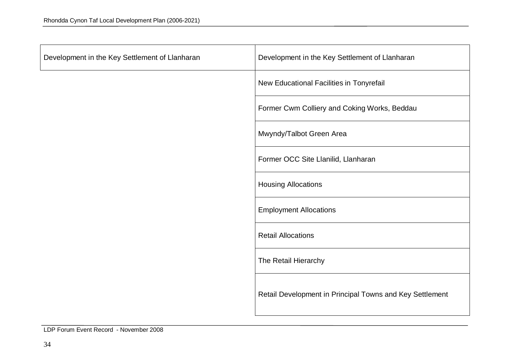| Development in the Key Settlement of Llanharan | Development in the Key Settlement of Llanharan           |
|------------------------------------------------|----------------------------------------------------------|
|                                                | New Educational Facilities in Tonyrefail                 |
|                                                | Former Cwm Colliery and Coking Works, Beddau             |
|                                                | Mwyndy/Talbot Green Area                                 |
|                                                | Former OCC Site Llanilid, Llanharan                      |
|                                                | <b>Housing Allocations</b>                               |
|                                                | <b>Employment Allocations</b>                            |
|                                                | <b>Retail Allocations</b>                                |
|                                                | The Retail Hierarchy                                     |
|                                                | Retail Development in Principal Towns and Key Settlement |

LDP Forum Event Record - November 2008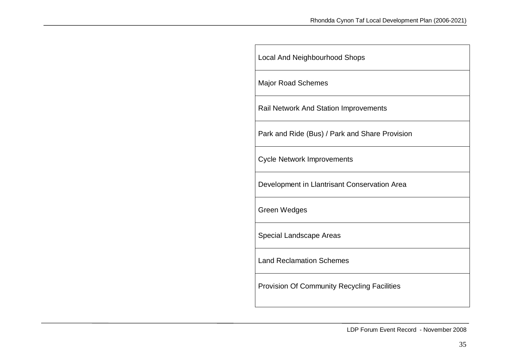| <b>Local And Neighbourhood Shops</b>               |
|----------------------------------------------------|
| <b>Major Road Schemes</b>                          |
| <b>Rail Network And Station Improvements</b>       |
| Park and Ride (Bus) / Park and Share Provision     |
| <b>Cycle Network Improvements</b>                  |
| Development in Llantrisant Conservation Area       |
| <b>Green Wedges</b>                                |
| Special Landscape Areas                            |
| <b>Land Reclamation Schemes</b>                    |
| <b>Provision Of Community Recycling Facilities</b> |